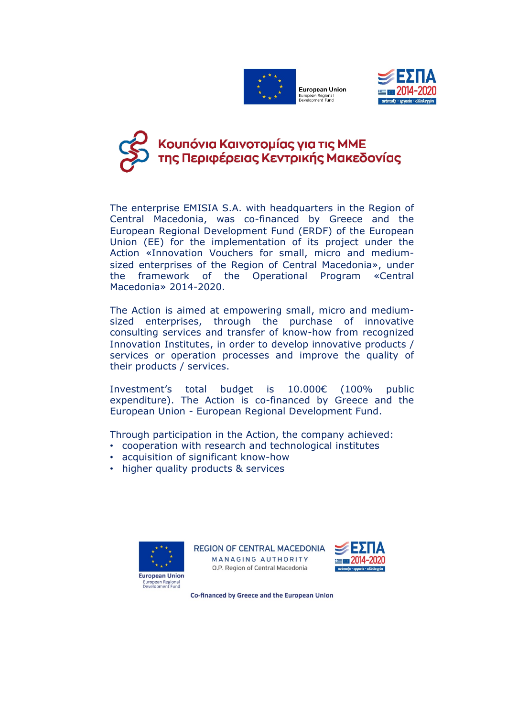



## Κουπόνια Καινοτομίας για τις ΜΜΕ<br>της Περιφέρειας Κεντρικής Μακεδονίας

Τhe enterprise EMISIA S.A. with headquarters in the Region of Central Macedonia, was co-financed by Greece and the European Regional Development Fund (ERDF) of the European Union (ΕΕ) for the implementation of its project under the Action «Innovation Vouchers for small, micro and mediumsized enterprises of the Region of Central Macedonia», under the framework of the Operational Program «Central Macedonia» 2014-2020.

The Action is aimed at empowering small, micro and mediumsized enterprises, through the purchase of innovative consulting services and transfer of know-how from recognized Innovation Institutes, in order to develop innovative products / services or operation processes and improve the quality of their products / services.

Ιnvestment's total budget is 10.000€ (100% public expenditure). The Action is co-financed by Greece and the European Union - European Regional Development Fund.

Through participation in the Action, the company achieved:

- cooperation with research and technological institutes
- acquisition of significant know-how
- higher quality products & services



**REGION OF CENTRAL MACEDONIA** MANAGING AUTHORITY O.P. Region of Central Macedonia



Co-financed by Greece and the European Union